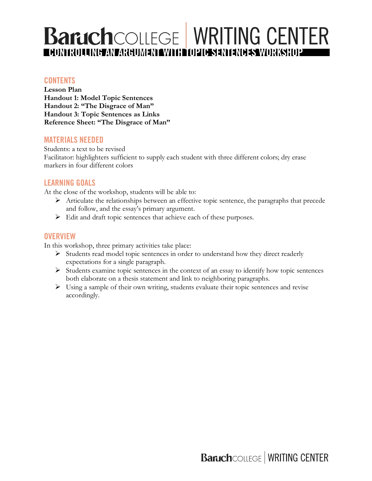# **Baruch**COLLEGE WRITING CENTER **CONTROLLING AN ARGUMENT WITH TOPIC SENTENCES WORKSHOP**

#### **CONTENTS**

**Lesson Plan Handout 1: Model Topic Sentences Handout 2: "The Disgrace of Man" Handout 3: Topic Sentences as Links Reference Sheet: "The Disgrace of Man"**

#### **MATERIALS NEEDED**

Students: a text to be revised Facilitator: highlighters sufficient to supply each student with three different colors; dry erase markers in four different colors

#### **LEARNING GOALS**

At the close of the workshop, students will be able to:

- Ø Articulate the relationships between an effective topic sentence, the paragraphs that precede and follow, and the essay's primary argument.
- $\triangleright$  Edit and draft topic sentences that achieve each of these purposes.

#### **OVERVIEW**

In this workshop, three primary activities take place:

- Ø Students read model topic sentences in order to understand how they direct readerly expectations for a single paragraph.
- Ø Students examine topic sentences in the context of an essay to identify how topic sentences both elaborate on a thesis statement and link to neighboring paragraphs.
- $\triangleright$  Using a sample of their own writing, students evaluate their topic sentences and revise accordingly.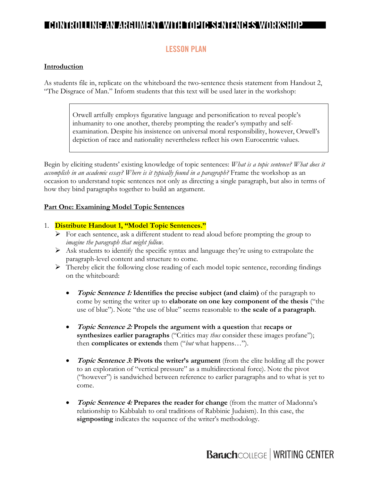### **LESSON PLAN**

#### **Introduction**

As students file in, replicate on the whiteboard the two-sentence thesis statement from Handout 2, "The Disgrace of Man." Inform students that this text will be used later in the workshop:

> Orwell artfully employs figurative language and personification to reveal people's inhumanity to one another, thereby prompting the reader's sympathy and selfexamination. Despite his insistence on universal moral responsibility, however, Orwell's depiction of race and nationality nevertheless reflect his own Eurocentric values.

Begin by eliciting students' existing knowledge of topic sentences: *What is a topic sentence? What does it accomplish in an academic essay? Where is it typically found in a paragraph?* Frame the workshop as an occasion to understand topic sentences not only as directing a single paragraph, but also in terms of how they bind paragraphs together to build an argument.

#### **Part One: Examining Model Topic Sentences**

#### 1. **Distribute Handout 1, "Model Topic Sentences."**

- $\triangleright$  For each sentence, ask a different student to read aloud before prompting the group to *imagine the paragraph that might follow*.
- $\triangleright$  Ask students to identify the specific syntax and language they're using to extrapolate the paragraph-level content and structure to come.
- $\triangleright$  Thereby elicit the following close reading of each model topic sentence, recording findings on the whiteboard:
	- **Topic Sentence 1: Identifies the precise subject (and claim)** of the paragraph to come by setting the writer up to **elaborate on one key component of the thesis** ("the use of blue"). Note "the use of blue" seems reasonable to **the scale of a paragraph**.
	- **Topic Sentence 2: Propels the argument with a question** that **recaps or synthesizes earlier paragraphs** ("Critics may *thus* consider these images profane"); then **complicates or extends** them ("*but* what happens…").
	- **Topic Sentence 3: Pivots the writer's argument** (from the elite holding all the power to an exploration of "vertical pressure" as a multidirectional force). Note the pivot ("however") is sandwiched between reference to earlier paragraphs and to what is yet to come.
	- **Topic Sentence 4: Prepares the reader for change** (from the matter of Madonna's relationship to Kabbalah to oral traditions of Rabbinic Judaism). In this case, the **signposting** indicates the sequence of the writer's methodology.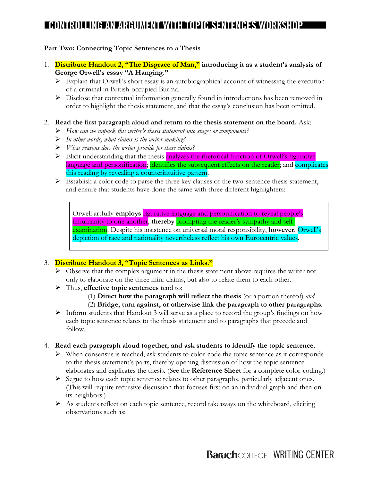#### **Part Two: Connecting Topic Sentences to a Thesis**

- 1. **Distribute Handout 2, "The Disgrace of Man," introducing it as a student's analysis of George Orwell's essay "A Hanging."**
	- $\triangleright$  Explain that Orwell's short essay is an autobiographical account of witnessing the execution of a criminal in British-occupied Burma.
	- $\triangleright$  Disclose that contextual information generally found in introductions has been removed in order to highlight the thesis statement, and that the essay's conclusion has been omitted.

#### 2. **Read the first paragraph aloud and return to the thesis statement on the board.** Ask:

- Ø *How can we unpack this writer's thesis statement into stages or components?*
- Ø *In other words, what claims is the writer making?*
- Ø *What reasons does the writer provide for these claims?*
- $\triangleright$  Elicit understanding that the thesis analyzes the rhetorical function of Orwell's figurative language and personification; identifies the subsequent effects on the reader; and complicates this reading by revealing a counterintuitive pattern.
- $\triangleright$  Establish a color code to parse the three key clauses of the two-sentence thesis statement, and ensure that students have done the same with three different highlighters:

Orwell artfully **employs** figurative language and personification to reveal people's inhumanity to one another, **thereby** prompting the reader's sympathy and selfexamination. Despite his insistence on universal moral responsibility, **however**, Orwell's depiction of race and nationality nevertheless reflect his own Eurocentric values.

#### 3. **Distribute Handout 3, "Topic Sentences as Links."**

- $\triangleright$  Observe that the complex argument in the thesis statement above requires the writer not only to elaborate on the three mini-claims, but also to relate them to each other.
- Ø Thus, **effective topic sentences** tend to:
	- (1) **Direct how the paragraph will reflect the thesis** (or a portion thereof) *and*
	- (2) **Bridge, turn against, or otherwise link the paragraph to other paragraphs**.
- $\triangleright$  Inform students that Handout 3 will serve as a place to record the group's findings on how each topic sentence relates to the thesis statement and to paragraphs that precede and follow.
- 4. **Read each paragraph aloud together, and ask students to identify the topic sentence.**
	- $\triangleright$  When consensus is reached, ask students to color-code the topic sentence as it corresponds to the thesis statement's parts, thereby opening discussion of how the topic sentence elaborates and explicates the thesis. (See the **Reference Sheet** for a complete color-coding.)
	- Ø Segue to how each topic sentence relates to other paragraphs, particularly adjacent ones. (This will require recursive discussion that focuses first on an individual graph and then on its neighbors.)
	- $\triangleright$  As students reflect on each topic sentence, record takeaways on the whiteboard, eliciting observations such as: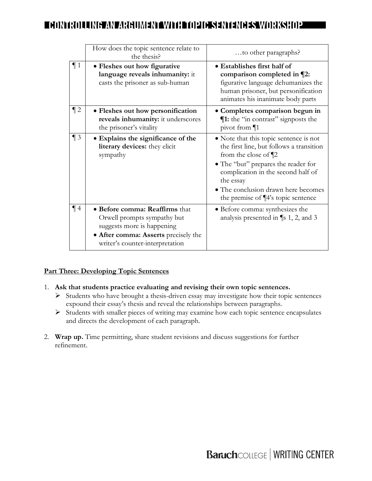|        | How does the topic sentence relate to<br>the thesis?                                                                                                                   | to other paragraphs?                                                                                                                                                                                                                                                                  |
|--------|------------------------------------------------------------------------------------------------------------------------------------------------------------------------|---------------------------------------------------------------------------------------------------------------------------------------------------------------------------------------------------------------------------------------------------------------------------------------|
| $\P_1$ | • Fleshes out how figurative<br>language reveals inhumanity: it<br>casts the prisoner as sub-human                                                                     | • Establishes first half of<br>comparison completed in ¶2:<br>figurative language dehumanizes the<br>human prisoner, but personification<br>animates his inanimate body parts                                                                                                         |
| $\P$ 2 | • Fleshes out how personification<br>reveals inhumanity: it underscores<br>the prisoner's vitality                                                                     | · Completes comparison begun in<br><b>11:</b> the "in contrast" signposts the<br>pivot from $\P$ 1                                                                                                                                                                                    |
| $\P_3$ | • Explains the significance of the<br>literary devices: they elicit<br>sympathy                                                                                        | • Note that this topic sentence is not<br>the first line, but follows a transition<br>from the close of $\P$ 2<br>• The "but" prepares the reader for<br>complication in the second half of<br>the essay<br>• The conclusion drawn here becomes<br>the premise of ¶4's topic sentence |
| $\P$ 4 | • Before comma: Reaffirms that<br>Orwell prompts sympathy but<br>suggests more is happening<br>· After comma: Asserts precisely the<br>writer's counter-interpretation | • Before comma: synthesizes the<br>analysis presented in $\P$ s 1, 2, and 3                                                                                                                                                                                                           |

#### **Part Three: Developing Topic Sentences**

- 1. **Ask that students practice evaluating and revising their own topic sentences.** 
	- $\triangleright$  Students who have brought a thesis-driven essay may investigate how their topic sentences expound their essay's thesis and reveal the relationships between paragraphs.
	- Ø Students with smaller pieces of writing may examine how each topic sentence encapsulates and directs the development of each paragraph.
- 2. **Wrap up.** Time permitting, share student revisions and discuss suggestions for further refinement.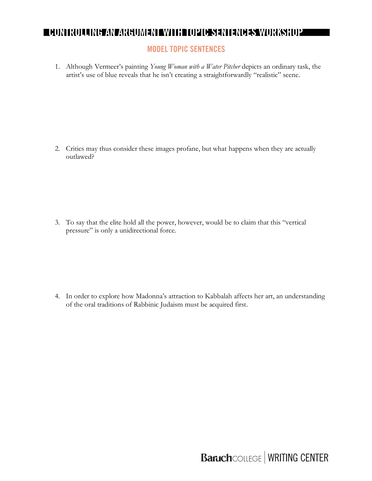### **MODEL TOPIC SENTENCES**

1. Although Vermeer's painting *Young Woman with a Water Pitcher* depicts an ordinary task, the artist's use of blue reveals that he isn't creating a straightforwardly "realistic" scene.

2. Critics may thus consider these images profane, but what happens when they are actually outlawed?

3. To say that the elite hold all the power, however, would be to claim that this "vertical pressure" is only a unidirectional force.

4. In order to explore how Madonna's attraction to Kabbalah affects her art, an understanding of the oral traditions of Rabbinic Judaism must be acquired first.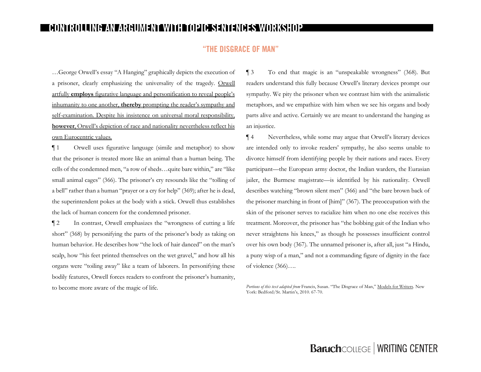#### **GRACE OF MAN" "THE DISGRACE OF MAN"**

…George Orwell's essay "A Hanging" graphically depicts the execution of a prisoner, clearly emphasizing the universality of the tragedy. Orwell artfully **employs** figurative language and personification to reveal people's inhumanity to one another, **thereby** prompting the reader's sympathy and self-examination. Despite his insistence on universal moral responsibility, **however**, Orwell's depiction of race and nationality nevertheless reflect his own Eurocentric values.

¶ 1 Orwell uses figurative language (simile and metaphor) to show that the prisoner is treated more like an animal than a human being. The cells of the condemned men, "a row of sheds…quite bare within," are "like small animal cages" (366). The prisoner's cry resounds like the "tolling of a bell" rather than a human "prayer or a cry for help" (369); after he is dead, the superintendent pokes at the body with a stick. Orwell thus establishes the lack of human concern for the condemned prisoner.

¶ 2 In contrast, Orwell emphasizes the "wrongness of cutting a life short" (368) by personifying the parts of the prisoner's body as taking on human behavior. He describes how "the lock of hair danced" on the man's scalp, how "his feet printed themselves on the wet gravel," and how all his organs were "toiling away" like a team of laborers. In personifying these bodily features, Orwell forces readers to confront the prisoner's humanity, to become more aware of the magic of life.

¶ 3 To end that magic is an "unspeakable wrongness" (368). But readers understand this fully because Orwell's literary devices prompt our sympathy. We pity the prisoner when we contrast him with the animalistic metaphors, and we empathize with him when we see his organs and body parts alive and active. Certainly we are meant to understand the hanging as an injustice.

¶ 4 Nevertheless, while some may argue that Orwell's literary devices are intended only to invoke readers' sympathy, he also seems unable to divorce himself from identifying people by their nations and races. Every participant—the European army doctor, the Indian warders, the Eurasian jailer, the Burmese magistrate—is identified by his nationality. Orwell describes watching "brown silent men" (366) and "the bare brown back of the prisoner marching in front of [him]" (367). The preoccupation with the skin of the prisoner serves to racialize him when no one else receives this treatment. Moreover, the prisoner has "the bobbing gait of the Indian who never straightens his knees," as though he possesses insufficient control over his own body (367). The unnamed prisoner is, after all, just "a Hindu, a puny wisp of a man," and not a commanding figure of dignity in the face of violence (366)….

*Portions of this text adapted from* Francis, Susan. "The Disgrace of Man," Models for Writers. New York: Bedford/St. Martin's, 2010. 67-70.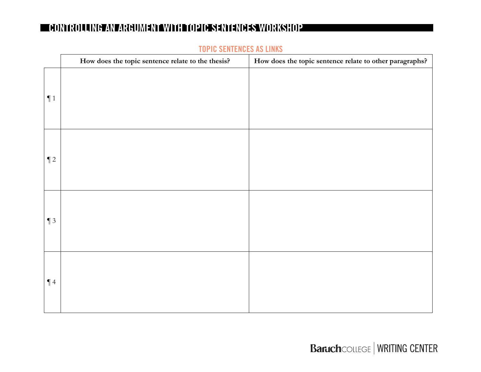|        | How does the topic sentence relate to the thesis? | How does the topic sentence relate to other paragraphs? |
|--------|---------------------------------------------------|---------------------------------------------------------|
| $\P1$  |                                                   |                                                         |
| $\P$ 2 |                                                   |                                                         |
| $\P$ 3 |                                                   |                                                         |
| $\P$ 4 |                                                   |                                                         |

#### **TOPIC SENTENCES AS LINKS**